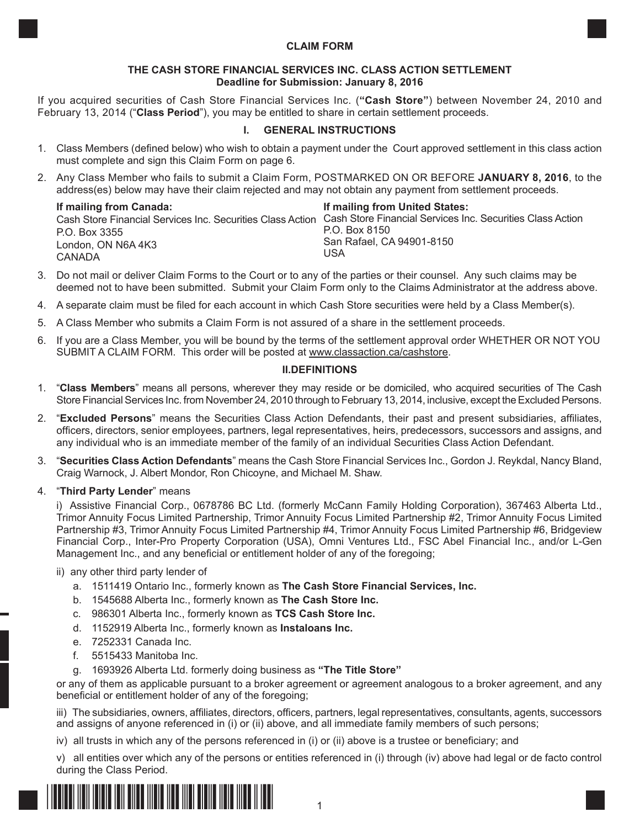## **CLAIM FORM**

#### **THE CASH STORE FINANCIAL SERVICES INC. CLASS ACTION SETTLEMENT Deadline for Submission: January 8, 2016**

If you acquired securities of Cash Store Financial Services Inc. (**"Cash Store"**) between November 24, 2010 and February 13, 2014 ("**Class Period**"), you may be entitled to share in certain settlement proceeds.

## **I. GENERAL INSTRUCTIONS**

- 1. Class Members (defined below) who wish to obtain a payment under the Court approved settlement in this class action must complete and sign this Claim Form on page 6.
- 2. Any Class Member who fails to submit a Claim Form, POSTMARKED ON OR BEFORE **JANUARY 8, 2016**, to the address(es) below may have their claim rejected and may not obtain any payment from settlement proceeds.

| If mailing from Canada:                                    | If mailing from United States:                             |
|------------------------------------------------------------|------------------------------------------------------------|
| Cash Store Financial Services Inc. Securities Class Action | Cash Store Financial Services Inc. Securities Class Action |
| P.O. Box 3355                                              | P.O. Box 8150                                              |
| London. ON N6A 4K3                                         | San Rafael, CA 94901-8150                                  |
| CANADA                                                     | USA                                                        |

- 3. Do not mail or deliver Claim Forms to the Court or to any of the parties or their counsel. Any such claims may be deemed not to have been submitted. Submit your Claim Form only to the Claims Administrator at the address above.
- 4. A separate claim must be filed for each account in which Cash Store securities were held by a Class Member(s).
- 5. A Class Member who submits a Claim Form is not assured of a share in the settlement proceeds.
- 6. If you are a Class Member, you will be bound by the terms of the settlement approval order WHETHER OR NOT YOU SUBMIT A CLAIM FORM. This order will be posted at www.classaction.ca/cashstore.

### **II.DEFINITIONS**

- 1. "**Class Members**" means all persons, wherever they may reside or be domiciled, who acquired securities of The Cash Store Financial Services Inc. from November 24, 2010 through to February 13, 2014, inclusive, except the Excluded Persons.
- 2. "**Excluded Persons**" means the Securities Class Action Defendants, their past and present subsidiaries, affiliates, officers, directors, senior employees, partners, legal representatives, heirs, predecessors, successors and assigns, and any individual who is an immediate member of the family of an individual Securities Class Action Defendant.
- 3. "**Securities Class Action Defendants**" means the Cash Store Financial Services Inc., Gordon J. Reykdal, Nancy Bland, Craig Warnock, J. Albert Mondor, Ron Chicoyne, and Michael M. Shaw.
- 4. "**Third Party Lender**" means

i) Assistive Financial Corp., 0678786 BC Ltd. (formerly McCann Family Holding Corporation), 367463 Alberta Ltd., Trimor Annuity Focus Limited Partnership, Trimor Annuity Focus Limited Partnership #2, Trimor Annuity Focus Limited Partnership #3, Trimor Annuity Focus Limited Partnership #4, Trimor Annuity Focus Limited Partnership #6, Bridgeview Financial Corp., Inter-Pro Property Corporation (USA), Omni Ventures Ltd., FSC Abel Financial Inc., and/or L-Gen Management Inc., and any beneficial or entitlement holder of any of the foregoing;

- ii) any other third party lender of
	- a. 1511419 Ontario Inc., formerly known as **The Cash Store Financial Services, Inc.**
	- b. 1545688 Alberta Inc., formerly known as **The Cash Store Inc.**
	- c. 986301 Alberta Inc., formerly known as **TCS Cash Store Inc.**
	- d. 1152919 Alberta Inc., formerly known as **Instaloans Inc.**
	- e. 7252331 Canada Inc.
	- f. 5515433 Manitoba Inc.
	- g. 1693926 Alberta Ltd. formerly doing business as **"The Title Store''**

or any of them as applicable pursuant to a broker agreement or agreement analogous to a broker agreement, and any beneficial or entitlement holder of any of the foregoing;

iii) The subsidiaries, owners, affiliates, directors, officers, partners, legal representatives, consultants, agents, successors and assigns of anyone referenced in (i) or (ii) above, and all immediate family members of such persons;

iv) all trusts in which any of the persons referenced in (i) or (ii) above is a trustee or beneficiary; and

v) all entities over which any of the persons or entities referenced in (i) through (iv) above had legal or de facto control during the Class Period.

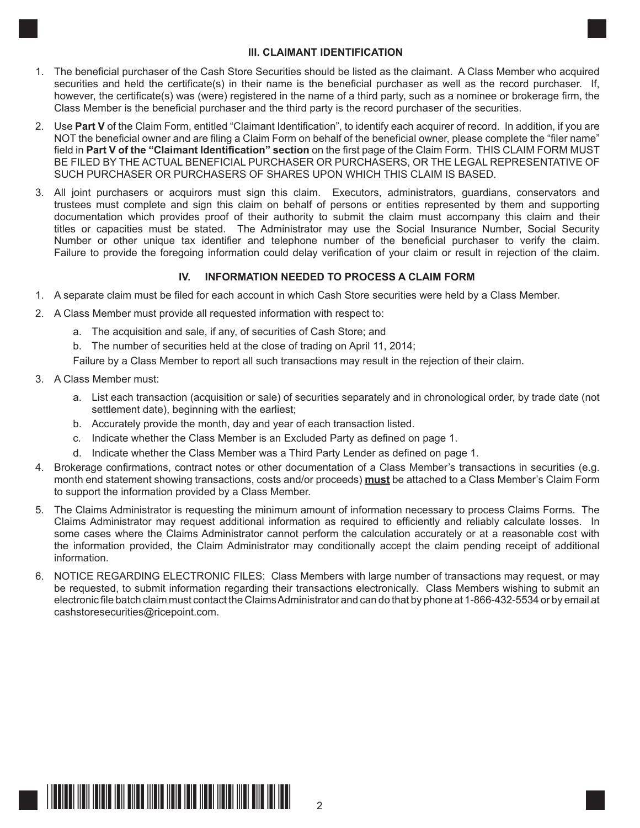# **III. CLAIMANT IDENTIFICATION**

- 1. The beneficial purchaser of the Cash Store Securities should be listed as the claimant. A Class Member who acquired securities and held the certificate(s) in their name is the beneficial purchaser as well as the record purchaser. If, however, the certificate(s) was (were) registered in the name of a third party, such as a nominee or brokerage firm, the Class Member is the beneficial purchaser and the third party is the record purchaser of the securities.
- 2. Use **Part V** of the Claim Form, entitled "Claimant Identification", to identify each acquirer of record. In addition, if you are NOT the beneficial owner and are filing a Claim Form on behalf of the beneficial owner, please complete the "filer name" field in **Part V of the "Claimant Identification" section** on the first page of the Claim Form. THIS CLAIM FORM MUST BE FILED BY THE ACTUAL BENEFICIAL PURCHASER OR PURCHASERS, OR THE LEGAL REPRESENTATIVE OF SUCH PURCHASER OR PURCHASERS OF SHARES UPON WHICH THIS CLAIM IS BASED.
- 3. All joint purchasers or acquirors must sign this claim. Executors, administrators, guardians, conservators and trustees must complete and sign this claim on behalf of persons or entities represented by them and supporting documentation which provides proof of their authority to submit the claim must accompany this claim and their titles or capacities must be stated. The Administrator may use the Social Insurance Number, Social Security Number or other unique tax identifier and telephone number of the beneficial purchaser to verify the claim. Failure to provide the foregoing information could delay verification of your claim or result in rejection of the claim.

# **IV. INFORMATION NEEDED TO PROCESS A CLAIM FORM**

- 1. A separate claim must be filed for each account in which Cash Store securities were held by a Class Member.
- 2. A Class Member must provide all requested information with respect to:
	- a. The acquisition and sale, if any, of securities of Cash Store; and
	- b. The number of securities held at the close of trading on April 11, 2014;
	- Failure by a Class Member to report all such transactions may result in the rejection of their claim.
- 3. A Class Member must:
	- a. List each transaction (acquisition or sale) of securities separately and in chronological order, by trade date (not settlement date), beginning with the earliest;
	- b. Accurately provide the month, day and year of each transaction listed.
	- c. Indicate whether the Class Member is an Excluded Party as defined on page 1.
	- d. Indicate whether the Class Member was a Third Party Lender as defined on page 1.
- 4. Brokerage confirmations, contract notes or other documentation of a Class Member's transactions in securities (e.g. month end statement showing transactions, costs and/or proceeds) **must** be attached to a Class Member's Claim Form to support the information provided by a Class Member.
- 5. The Claims Administrator is requesting the minimum amount of information necessary to process Claims Forms. The Claims Administrator may request additional information as required to efficiently and reliably calculate losses. In some cases where the Claims Administrator cannot perform the calculation accurately or at a reasonable cost with the information provided, the Claim Administrator may conditionally accept the claim pending receipt of additional information.
- 6. NOTICE REGARDING ELECTRONIC FILES: Class Members with large number of transactions may request, or may be requested, to submit information regarding their transactions electronically. Class Members wishing to submit an electronic file batch claim must contact the Claims Administrator and can do that by phone at 1-866-432-5534 or by email at cashstoresecurities@ricepoint.com.

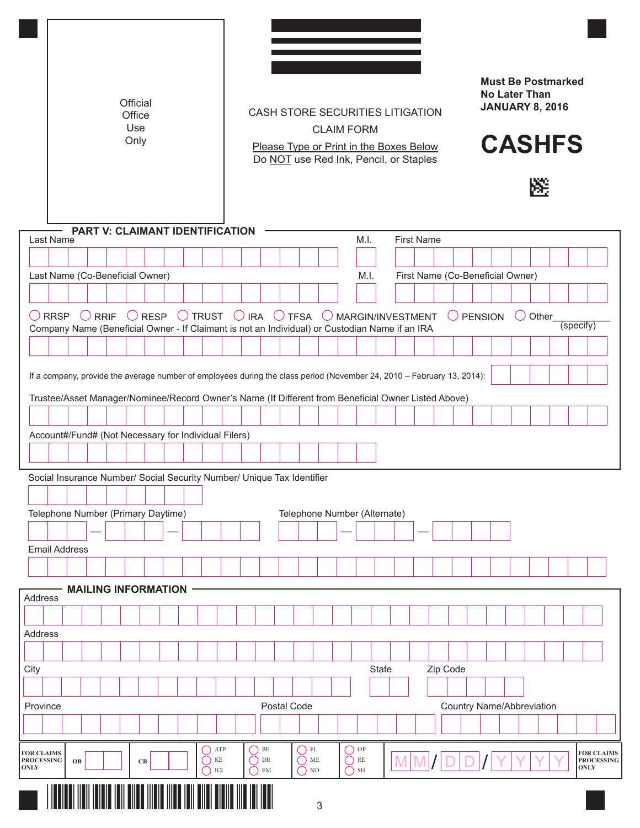|                                                                                                                                | Official<br>Office<br>Use<br>Only |    |  |                            |  |    |  | CASH STORE SECURITIES LITIGATION<br><b>CLAIM FORM</b><br>Please Type or Print in the Boxes Below<br>Do NOT use Red Ink, Pencil, or Staples |                                     |                                                                                                        |                      |                              |                                         |   |  |                                                | <b>Must Be Postmarked</b><br><b>No Later Than</b><br><b>JANUARY 8, 2016</b><br><b>CASHFS</b><br>蹊 |                   |  |          |  |                                  |  |  |                                  |  |             |                                        |
|--------------------------------------------------------------------------------------------------------------------------------|-----------------------------------|----|--|----------------------------|--|----|--|--------------------------------------------------------------------------------------------------------------------------------------------|-------------------------------------|--------------------------------------------------------------------------------------------------------|----------------------|------------------------------|-----------------------------------------|---|--|------------------------------------------------|---------------------------------------------------------------------------------------------------|-------------------|--|----------|--|----------------------------------|--|--|----------------------------------|--|-------------|----------------------------------------|
| Last Name                                                                                                                      |                                   |    |  |                            |  |    |  |                                                                                                                                            | PART V: CLAIMANT IDENTIFICATION     |                                                                                                        |                      |                              |                                         |   |  | M.I.                                           |                                                                                                   | <b>First Name</b> |  |          |  |                                  |  |  |                                  |  |             |                                        |
|                                                                                                                                |                                   |    |  |                            |  |    |  |                                                                                                                                            |                                     |                                                                                                        |                      |                              |                                         |   |  |                                                |                                                                                                   |                   |  |          |  |                                  |  |  |                                  |  |             |                                        |
| Last Name (Co-Beneficial Owner)                                                                                                |                                   |    |  |                            |  |    |  |                                                                                                                                            |                                     |                                                                                                        |                      |                              |                                         |   |  | M.I.                                           |                                                                                                   |                   |  |          |  | First Name (Co-Beneficial Owner) |  |  |                                  |  |             |                                        |
|                                                                                                                                |                                   |    |  |                            |  |    |  |                                                                                                                                            |                                     |                                                                                                        |                      |                              |                                         |   |  |                                                |                                                                                                   |                   |  |          |  |                                  |  |  |                                  |  |             |                                        |
| $\bigcirc$ RRSP                                                                                                                |                                   |    |  |                            |  |    |  |                                                                                                                                            |                                     | ORRIF ORESP OTRUST OIRA OTFSA OMARGIN/INVESTMENT                                                       |                      |                              |                                         |   |  |                                                |                                                                                                   |                   |  |          |  | $\bigcirc$ PENSION               |  |  | $\bigcirc$ Other_                |  | (specify)   |                                        |
| Company Name (Beneficial Owner - If Claimant is not an Individual) or Custodian Name if an IRA                                 |                                   |    |  |                            |  |    |  |                                                                                                                                            |                                     |                                                                                                        |                      |                              |                                         |   |  |                                                |                                                                                                   |                   |  |          |  |                                  |  |  |                                  |  |             |                                        |
|                                                                                                                                |                                   |    |  |                            |  |    |  |                                                                                                                                            |                                     |                                                                                                        |                      |                              |                                         |   |  |                                                |                                                                                                   |                   |  |          |  |                                  |  |  |                                  |  |             |                                        |
| Account#/Fund# (Not Necessary for Individual Filers)<br>Social Insurance Number/ Social Security Number/ Unique Tax Identifier |                                   |    |  |                            |  |    |  |                                                                                                                                            |                                     |                                                                                                        |                      |                              |                                         |   |  |                                                |                                                                                                   |                   |  |          |  |                                  |  |  |                                  |  |             |                                        |
|                                                                                                                                |                                   |    |  |                            |  |    |  |                                                                                                                                            |                                     |                                                                                                        |                      |                              |                                         |   |  |                                                |                                                                                                   |                   |  |          |  |                                  |  |  |                                  |  |             |                                        |
| Telephone Number (Primary Daytime)                                                                                             |                                   |    |  |                            |  |    |  |                                                                                                                                            |                                     |                                                                                                        |                      | Telephone Number (Alternate) |                                         |   |  |                                                |                                                                                                   |                   |  |          |  |                                  |  |  |                                  |  |             |                                        |
|                                                                                                                                |                                   |    |  |                            |  |    |  |                                                                                                                                            |                                     |                                                                                                        |                      |                              |                                         |   |  |                                                |                                                                                                   |                   |  |          |  |                                  |  |  |                                  |  |             |                                        |
| <b>Email Address</b>                                                                                                           |                                   |    |  |                            |  |    |  |                                                                                                                                            |                                     |                                                                                                        |                      |                              |                                         |   |  |                                                |                                                                                                   |                   |  |          |  |                                  |  |  |                                  |  |             |                                        |
|                                                                                                                                |                                   |    |  | <b>MAILING INFORMATION</b> |  |    |  |                                                                                                                                            |                                     |                                                                                                        |                      |                              |                                         |   |  |                                                |                                                                                                   |                   |  |          |  |                                  |  |  |                                  |  |             |                                        |
| Address                                                                                                                        |                                   |    |  |                            |  |    |  |                                                                                                                                            |                                     |                                                                                                        |                      |                              |                                         |   |  |                                                |                                                                                                   |                   |  |          |  |                                  |  |  |                                  |  |             |                                        |
|                                                                                                                                |                                   |    |  |                            |  |    |  |                                                                                                                                            |                                     |                                                                                                        |                      |                              |                                         |   |  |                                                |                                                                                                   |                   |  |          |  |                                  |  |  |                                  |  |             |                                        |
| Address                                                                                                                        |                                   |    |  |                            |  |    |  |                                                                                                                                            |                                     |                                                                                                        |                      |                              |                                         |   |  |                                                |                                                                                                   |                   |  |          |  |                                  |  |  |                                  |  |             |                                        |
|                                                                                                                                |                                   |    |  |                            |  |    |  |                                                                                                                                            |                                     |                                                                                                        |                      |                              |                                         |   |  |                                                |                                                                                                   |                   |  |          |  |                                  |  |  |                                  |  |             |                                        |
| City                                                                                                                           |                                   |    |  |                            |  |    |  |                                                                                                                                            |                                     |                                                                                                        |                      |                              |                                         |   |  |                                                | State                                                                                             |                   |  | Zip Code |  |                                  |  |  |                                  |  |             |                                        |
| Province                                                                                                                       |                                   |    |  |                            |  |    |  |                                                                                                                                            |                                     |                                                                                                        |                      | Postal Code                  |                                         |   |  |                                                |                                                                                                   |                   |  |          |  |                                  |  |  | <b>Country Name/Abbreviation</b> |  |             |                                        |
|                                                                                                                                |                                   |    |  |                            |  |    |  |                                                                                                                                            |                                     |                                                                                                        |                      |                              |                                         |   |  |                                                |                                                                                                   |                   |  |          |  |                                  |  |  |                                  |  |             |                                        |
| <b>FOR CLAIMS</b><br><b>PROCESSING</b><br><b>ONLY</b>                                                                          |                                   | OB |  |                            |  | CB |  |                                                                                                                                            | ATP<br>$\rm KE$<br>ICI              | $\left( \begin{array}{c} \end{array} \right)$<br>$(\ )$<br>$\left(\begin{array}{c} \end{array}\right)$ | $\rm BE$<br>DR<br>EM |                              | $\bigcap$ FL<br>O<br>ME<br>$\bigcap$ ND |   |  | $\bigcirc$ op<br>$\bigcirc$ re<br>$\bigcap$ SH |                                                                                                   |                   |  |          |  |                                  |  |  |                                  |  | <b>ONLY</b> | <b>FOR CLAIMS</b><br><b>PROCESSING</b> |
|                                                                                                                                |                                   |    |  |                            |  |    |  |                                                                                                                                            | <u>TII III IIII III III III III</u> |                                                                                                        |                      |                              |                                         | 3 |  |                                                |                                                                                                   |                   |  |          |  |                                  |  |  |                                  |  |             |                                        |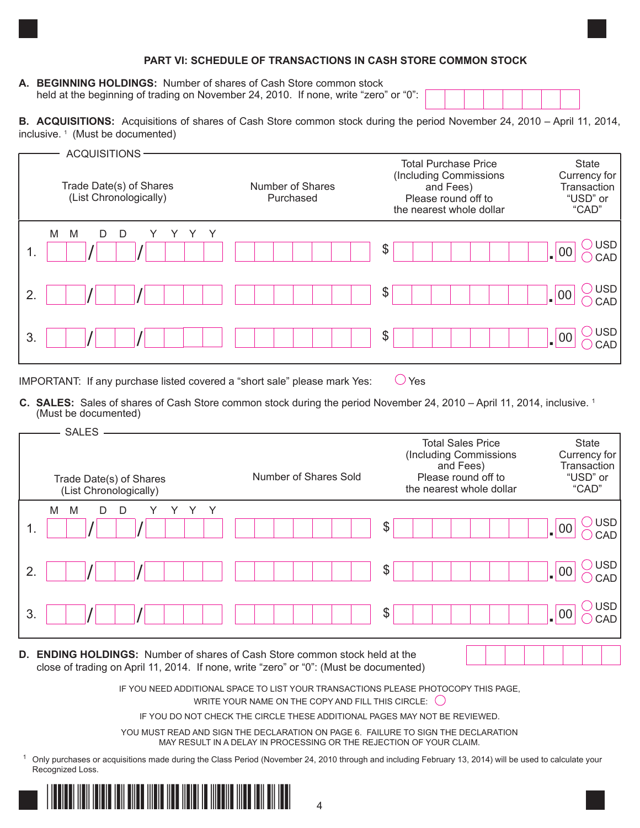# **PART VI: SCHEDULE OF TRANSACTIONS IN CASH STORE COMMON STOCK**

**A. BEGINNING HOLDINGS:** Number of shares of Cash Store common stock held at the beginning of trading on November 24, 2010. If none, write "zero" or "0":

**B. ACQUISITIONS:** Acquisitions of shares of Cash Store common stock during the period November 24, 2010 – April 11, 2014, inclusive. <sup>1</sup> (Must be documented)

| <b>ACQUISITIONS</b><br>Trade Date(s) of Shares<br>(List Chronologically) | Number of Shares<br>Purchased | <b>Total Purchase Price</b><br>(Including Commissions<br>and Fees)<br>Please round off to<br>the nearest whole dollar | <b>State</b><br>Currency for<br>Transaction<br>"USD" or<br>"CAD" |  |  |
|--------------------------------------------------------------------------|-------------------------------|-----------------------------------------------------------------------------------------------------------------------|------------------------------------------------------------------|--|--|
| M<br>M<br>v<br>Y<br>D.<br>D<br>1                                         |                               | \$                                                                                                                    | <b>USD</b><br>00                                                 |  |  |
| 2.                                                                       |                               | \$                                                                                                                    | <b>USD</b><br>00                                                 |  |  |
| 3                                                                        |                               | \$                                                                                                                    | <b>USD</b><br>00                                                 |  |  |

IMPORTANT: If any purchase listed covered a "short sale" please mark Yes:  $\bigcirc$  Yes

**C. SALES:** Sales of shares of Cash Store common stock during the period November 24, 2010 – April 11, 2014, inclusive. 1 (Must be documented)

| <b>SALES</b><br>Trade Date(s) of Shares<br>(List Chronologically) | Number of Shares Sold | <b>Total Sales Price</b><br>(Including Commissions<br>and Fees)<br>Please round off to<br>the nearest whole dollar | State<br>Currency for<br>Transaction<br>"USD" or<br>"CAD" |
|-------------------------------------------------------------------|-----------------------|--------------------------------------------------------------------------------------------------------------------|-----------------------------------------------------------|
| M<br>M<br>Υ<br>D<br>D<br>1                                        | \$                    |                                                                                                                    | <b>JSD</b><br> 00                                         |
| 2.                                                                | \$                    |                                                                                                                    | <b>JSD</b><br> 00                                         |
| 3                                                                 | \$                    |                                                                                                                    | JSD                                                       |

**D. ENDING HOLDINGS:** Number of shares of Cash Store common stock held at the close of trading on April 11, 2014. If none, write "zero" or "0": (Must be documented)

IF YOU NEED ADDITIONAL SPACE TO LIST YOUR TRANSACTIONS PLEASE PHOTOCOPY THIS PAGE,

WRITE YOUR NAME ON THE COPY AND FILL THIS CIRCLE:  $\bigcirc$ 

IF YOU DO NOT CHECK THE CIRCLE THESE ADDITIONAL PAGES MAY NOT BE REVIEWED.

YOU MUST READ AND SIGN THE DECLARATION ON PAGE 6. FAILURE TO SIGN THE DECLARATION MAY RESULT IN A DELAY IN PROCESSING OR THE REJECTION OF YOUR CLAIM.

 $1$  Only purchases or acquisitions made during the Class Period (November 24, 2010 through and including February 13, 2014) will be used to calculate your Recognized Loss.

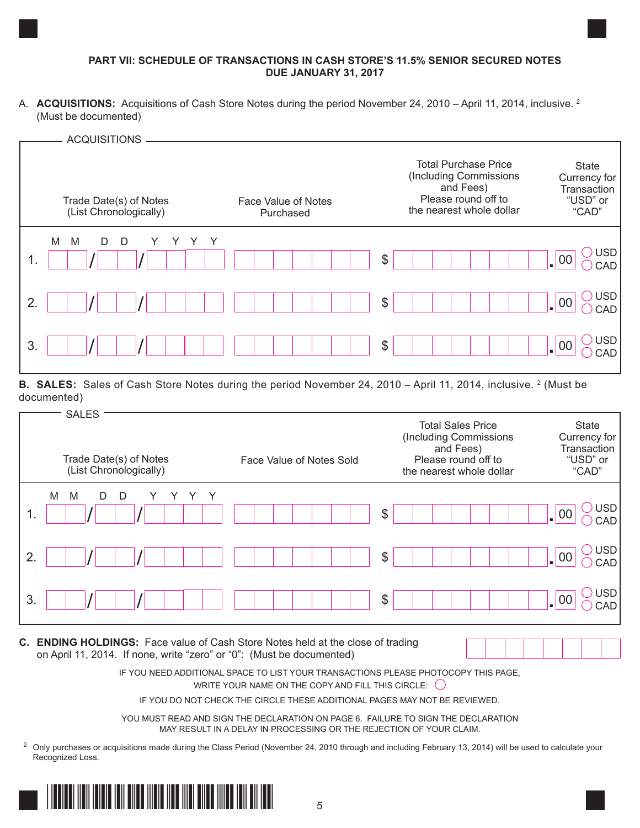## **PART VII: SCHEDULE OF TRANSACTIONS IN CASH STORE'S 11.5% SENIOR SECURED NOTES DUE JANUARY 31, 2017**

A. **ACQUISITIONS:** Acquisitions of Cash Store Notes during the period November 24, 2010 – April 11, 2014, inclusive. 2 (Must be documented)

| Face Value of Notes<br>Purchased | <b>Total Purchase Price</b><br>(Including Commissions<br>and Fees)<br>Please round off to<br>the nearest whole dollar | <b>State</b><br>Currency for<br>Transaction<br>"USD" or<br>"CAD" |
|----------------------------------|-----------------------------------------------------------------------------------------------------------------------|------------------------------------------------------------------|
| Y                                | \$                                                                                                                    | <b>USD</b><br> 00<br>CAD                                         |
|                                  | \$                                                                                                                    | <b>USD</b><br> 00                                                |
|                                  | \$                                                                                                                    | <b>USD</b><br> 00                                                |
|                                  |                                                                                                                       |                                                                  |

**B. SALES:** Sales of Cash Store Notes during the period November 24, 2010 – April 11, 2014, inclusive. 2 (Must be documented)

| <b>SALES</b><br>Trade Date(s) of Notes<br>(List Chronologically) | Face Value of Notes Sold | <b>Total Sales Price</b><br>(Including Commissions<br>and Fees)<br>Please round off to<br>the nearest whole dollar | State<br>Currency for<br>Transaction<br>"USD" or<br>"CAD" |
|------------------------------------------------------------------|--------------------------|--------------------------------------------------------------------------------------------------------------------|-----------------------------------------------------------|
| M<br>M<br>D<br>D.<br>$\mathbf 1$ .                               | \$                       |                                                                                                                    | USD <sup>1</sup><br> 00                                   |
| 2.                                                               | \$                       |                                                                                                                    | <b>USD</b><br> 00                                         |
| 3.                                                               | \$                       |                                                                                                                    | <b>USD</b><br> 00                                         |

# **C. ENDING HOLDINGS:** Face value of Cash Store Notes held at the close of trading on April 11, 2014. If none, write "zero" or "0": (Must be documented)

IF YOU NEED ADDITIONAL SPACE TO LIST YOUR TRANSACTIONS PLEASE PHOTOCOPY THIS PAGE,

WRITE YOUR NAME ON THE COPY AND FILL THIS CIRCLE:  $\bigcirc$ 

IF YOU DO NOT CHECK THE CIRCLE THESE ADDITIONAL PAGES MAY NOT BE REVIEWED.

YOU MUST READ AND SIGN THE DECLARATION ON PAGE 6. FAILURE TO SIGN THE DECLARATION MAY RESULT IN A DELAY IN PROCESSING OR THE REJECTION OF YOUR CLAIM.

<sup>2</sup> Only purchases or acquisitions made during the Class Period (November 24, 2010 through and including February 13, 2014) will be used to calculate your Recognized Loss.

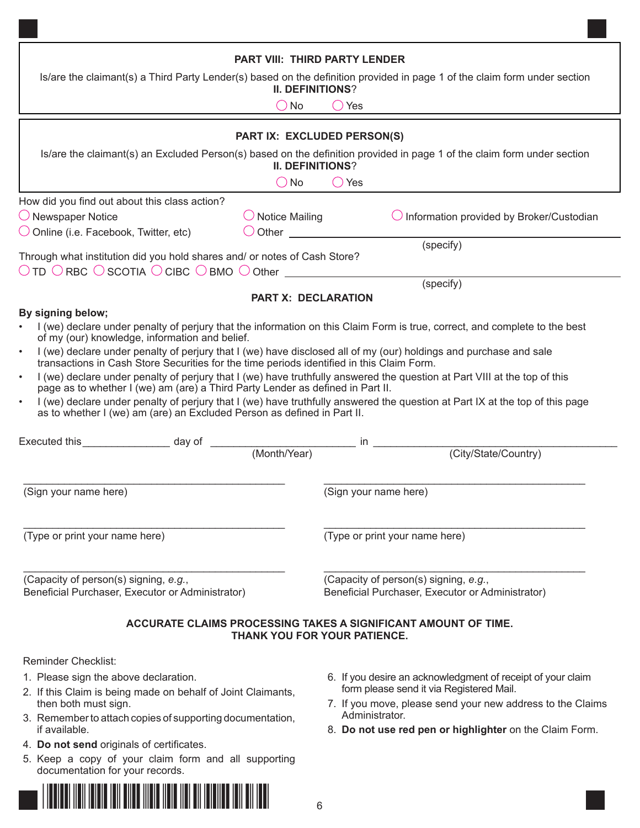|                                                                                                                                                                                                                                                                                                                                                                                                                                                                                                                                                 | <b>PART VIII: THIRD PARTY LENDER</b><br>Is/are the claimant(s) a Third Party Lender(s) based on the definition provided in page 1 of the claim form under section<br><b>II. DEFINITIONS?</b> |  |  |  |  |  |
|-------------------------------------------------------------------------------------------------------------------------------------------------------------------------------------------------------------------------------------------------------------------------------------------------------------------------------------------------------------------------------------------------------------------------------------------------------------------------------------------------------------------------------------------------|----------------------------------------------------------------------------------------------------------------------------------------------------------------------------------------------|--|--|--|--|--|
| $\bigcirc$ No                                                                                                                                                                                                                                                                                                                                                                                                                                                                                                                                   | $\bigcirc$ Yes                                                                                                                                                                               |  |  |  |  |  |
|                                                                                                                                                                                                                                                                                                                                                                                                                                                                                                                                                 | PART IX: EXCLUDED PERSON(S)                                                                                                                                                                  |  |  |  |  |  |
|                                                                                                                                                                                                                                                                                                                                                                                                                                                                                                                                                 | Is/are the claimant(s) an Excluded Person(s) based on the definition provided in page 1 of the claim form under section                                                                      |  |  |  |  |  |
|                                                                                                                                                                                                                                                                                                                                                                                                                                                                                                                                                 | <b>II. DEFINITIONS?</b>                                                                                                                                                                      |  |  |  |  |  |
| $\bigcirc$ No                                                                                                                                                                                                                                                                                                                                                                                                                                                                                                                                   | $\bigcirc$ Yes                                                                                                                                                                               |  |  |  |  |  |
| How did you find out about this class action?                                                                                                                                                                                                                                                                                                                                                                                                                                                                                                   |                                                                                                                                                                                              |  |  |  |  |  |
| $\bigcirc$ Newspaper Notice<br>Notice Mailing<br>$\bigcirc$ Online (i.e. Facebook, Twitter, etc)                                                                                                                                                                                                                                                                                                                                                                                                                                                | $\bigcirc$ Information provided by Broker/Custodian<br>$\bigcirc$ Other $\bigcirc$                                                                                                           |  |  |  |  |  |
|                                                                                                                                                                                                                                                                                                                                                                                                                                                                                                                                                 | (specify)                                                                                                                                                                                    |  |  |  |  |  |
| Through what institution did you hold shares and/ or notes of Cash Store?                                                                                                                                                                                                                                                                                                                                                                                                                                                                       |                                                                                                                                                                                              |  |  |  |  |  |
| $\bigcirc$ td $\bigcirc$ RBC $\bigcirc$ SCOTIA $\bigcirc$ CIBC $\bigcirc$ BMO $\bigcirc$ Other                                                                                                                                                                                                                                                                                                                                                                                                                                                  | (specify)                                                                                                                                                                                    |  |  |  |  |  |
|                                                                                                                                                                                                                                                                                                                                                                                                                                                                                                                                                 | <b>PART X: DECLARATION</b>                                                                                                                                                                   |  |  |  |  |  |
| I (we) declare under penalty of perjury that I (we) have disclosed all of my (our) holdings and purchase and sale<br>$\bullet$<br>transactions in Cash Store Securities for the time periods identified in this Claim Form.<br>I (we) declare under penalty of perjury that I (we) have truthfully answered the question at Part VIII at the top of this<br>$\bullet$<br>page as to whether I (we) am (are) a Third Party Lender as defined in Part II.<br>$\bullet$<br>as to whether I (we) am (are) an Excluded Person as defined in Part II. | I (we) declare under penalty of perjury that I (we) have truthfully answered the question at Part IX at the top of this page                                                                 |  |  |  |  |  |
| (Month/Year)                                                                                                                                                                                                                                                                                                                                                                                                                                                                                                                                    | (City/State/Country)                                                                                                                                                                         |  |  |  |  |  |
|                                                                                                                                                                                                                                                                                                                                                                                                                                                                                                                                                 |                                                                                                                                                                                              |  |  |  |  |  |
| (Sign your name here)                                                                                                                                                                                                                                                                                                                                                                                                                                                                                                                           | (Sign your name here)                                                                                                                                                                        |  |  |  |  |  |
| (Type or print your name here)                                                                                                                                                                                                                                                                                                                                                                                                                                                                                                                  | (Type or print your name here)                                                                                                                                                               |  |  |  |  |  |
| (Capacity of person(s) signing, e.g.,<br>Beneficial Purchaser, Executor or Administrator)                                                                                                                                                                                                                                                                                                                                                                                                                                                       | (Capacity of person(s) signing, e.g.,<br>Beneficial Purchaser, Executor or Administrator)                                                                                                    |  |  |  |  |  |
|                                                                                                                                                                                                                                                                                                                                                                                                                                                                                                                                                 | ACCURATE CLAIMS PROCESSING TAKES A SIGNIFICANT AMOUNT OF TIME.<br>THANK YOU FOR YOUR PATIENCE.                                                                                               |  |  |  |  |  |
| <b>Reminder Checklist:</b>                                                                                                                                                                                                                                                                                                                                                                                                                                                                                                                      |                                                                                                                                                                                              |  |  |  |  |  |
| 1. Please sign the above declaration.                                                                                                                                                                                                                                                                                                                                                                                                                                                                                                           | 6. If you desire an acknowledgment of receipt of your claim                                                                                                                                  |  |  |  |  |  |
| 2. If this Claim is being made on behalf of Joint Claimants,                                                                                                                                                                                                                                                                                                                                                                                                                                                                                    | form please send it via Registered Mail.                                                                                                                                                     |  |  |  |  |  |
| then both must sign.<br>3. Remember to attach copies of supporting documentation,<br>if available.                                                                                                                                                                                                                                                                                                                                                                                                                                              | 7. If you move, please send your new address to the Claims<br>Administrator.<br>8. Do not use red pen or highlighter on the Claim Form.                                                      |  |  |  |  |  |
| 4. Do not send originals of certificates.                                                                                                                                                                                                                                                                                                                                                                                                                                                                                                       |                                                                                                                                                                                              |  |  |  |  |  |

5. Keep a copy of your claim form and all supporting documentation for your records.

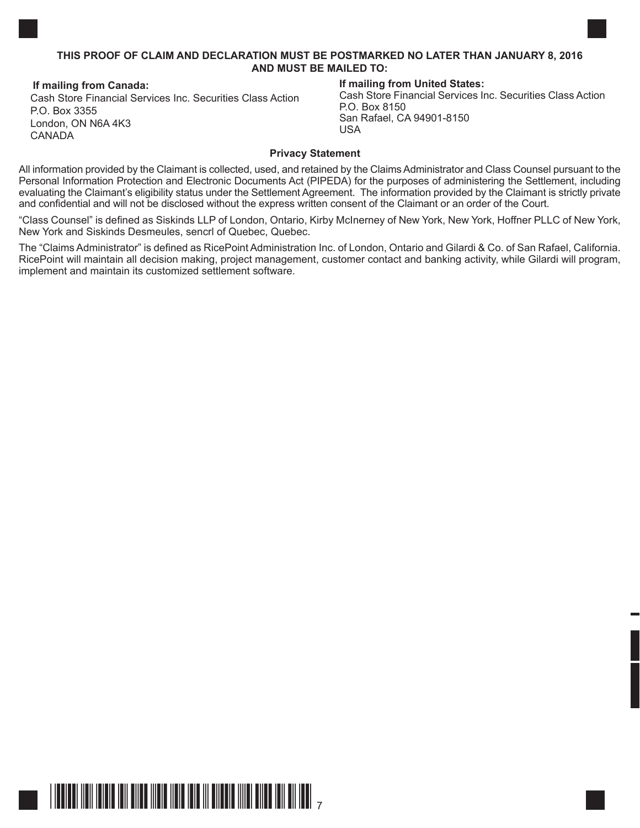## **THIS PROOF OF CLAIM AND DECLARATION MUST BE POSTMARKED NO LATER THAN JANUARY 8, 2016 AND MUST BE MAILED TO:**

### **If mailing from Canada:**

 Cash Store Financial Services Inc. Securities Class Action P.O. Box 3355 London, ON N6A 4K3 CANADA

#### **If mailing from United States:**

Cash Store Financial Services Inc. Securities Class Action P.O. Box 8150 San Rafael, CA 94901-8150 USA

### **Privacy Statement**

All information provided by the Claimant is collected, used, and retained by the Claims Administrator and Class Counsel pursuant to the Personal Information Protection and Electronic Documents Act (PIPEDA) for the purposes of administering the Settlement, including evaluating the Claimant's eligibility status under the Settlement Agreement. The information provided by the Claimant is strictly private and confidential and will not be disclosed without the express written consent of the Claimant or an order of the Court.

"Class Counsel" is defined as Siskinds LLP of London, Ontario, Kirby McInerney of New York, New York, Hoffner PLLC of New York, New York and Siskinds Desmeules, sencrl of Quebec, Quebec.

The "Claims Administrator" is defined as RicePoint Administration Inc. of London, Ontario and Gilardi & Co. of San Rafael, California. RicePoint will maintain all decision making, project management, customer contact and banking activity, while Gilardi will program, implement and maintain its customized settlement software.